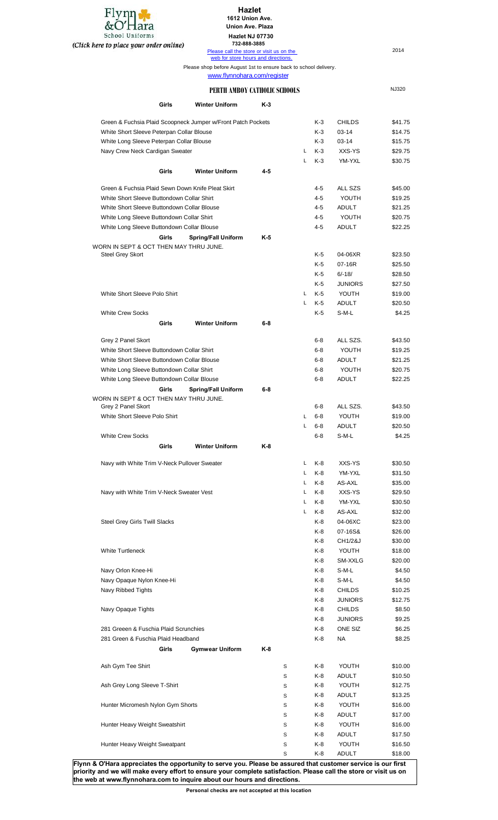

## **Hazlet 1612 Union Ave.**

**Union Ave. Plaza**

**Hazlet NJ 07730**

**732-888-3885**

| nere to place your order online)                             | 798-000-9009<br>Please call the store or visit us on the                                        |     |    |         |                | 2014         |
|--------------------------------------------------------------|-------------------------------------------------------------------------------------------------|-----|----|---------|----------------|--------------|
|                                                              | web for store hours and directions.                                                             |     |    |         |                |              |
|                                                              | Please shop before August 1st to ensure back to school delivery.<br>www.flynnohara.com/register |     |    |         |                |              |
|                                                              | PERTH AMBOY CATHOLIC SCHOOLS                                                                    |     |    |         |                | <b>NJ320</b> |
| Girls                                                        | <b>Winter Uniform</b>                                                                           | K-3 |    |         |                |              |
|                                                              |                                                                                                 |     |    |         |                |              |
| Green & Fuchsia Plaid Scoopneck Jumper w/Front Patch Pockets |                                                                                                 |     |    | K-3     | <b>CHILDS</b>  | \$41.75      |
| White Short Sleeve Peterpan Collar Blouse                    |                                                                                                 |     |    | K-3     | 03-14          | \$14.75      |
| White Long Sleeve Peterpan Collar Blouse                     |                                                                                                 |     |    | K-3     | 03-14          | \$15.75      |
| Navy Crew Neck Cardigan Sweater                              |                                                                                                 |     | L  | K-3     | XXS-YS         | \$29.75      |
| Girls                                                        | <b>Winter Uniform</b>                                                                           | 4-5 | L  | $K-3$   | YM-YXL         | \$30.75      |
| Green & Fuchsia Plaid Sewn Down Knife Pleat Skirt            |                                                                                                 |     |    | 4-5     | ALL SZS        | \$45.00      |
| White Short Sleeve Buttondown Collar Shirt                   |                                                                                                 |     |    | $4 - 5$ | YOUTH          | \$19.25      |
| White Short Sleeve Buttondown Collar Blouse                  |                                                                                                 |     |    |         |                |              |
|                                                              |                                                                                                 |     |    | 4-5     | <b>ADULT</b>   | \$21.25      |
| White Long Sleeve Buttondown Collar Shirt                    |                                                                                                 |     |    | $4 - 5$ | YOUTH          | \$20.75      |
| White Long Sleeve Buttondown Collar Blouse                   |                                                                                                 |     |    | 4-5     | <b>ADULT</b>   | \$22.25      |
| Girls                                                        | <b>Spring/Fall Uniform</b>                                                                      | K-5 |    |         |                |              |
| WORN IN SEPT & OCT THEN MAY THRU JUNE.                       |                                                                                                 |     |    |         |                |              |
| <b>Steel Grey Skort</b>                                      |                                                                                                 |     |    | K-5     | 04-06XR        | \$23.50      |
|                                                              |                                                                                                 |     |    | K-5     | 07-16R         | \$25.50      |
|                                                              |                                                                                                 |     |    | K-5     | $6/-18/$       | \$28.50      |
|                                                              |                                                                                                 |     |    | K-5     | <b>JUNIORS</b> | \$27.50      |
| White Short Sleeve Polo Shirt                                |                                                                                                 |     | L  | K-5     | YOUTH          | \$19.00      |
|                                                              |                                                                                                 |     | Г  | K-5     | <b>ADULT</b>   | \$20.50      |
| <b>White Crew Socks</b>                                      |                                                                                                 |     |    | K-5     | S-M-L          | \$4.25       |
| Girls                                                        | <b>Winter Uniform</b>                                                                           | 6-8 |    |         |                |              |
| Grey 2 Panel Skort                                           |                                                                                                 |     |    | $6-8$   | ALL SZS.       | \$43.50      |
| White Short Sleeve Buttondown Collar Shirt                   |                                                                                                 |     |    | $6-8$   | YOUTH          | \$19.25      |
| White Short Sleeve Buttondown Collar Blouse                  |                                                                                                 |     |    | $6-8$   | <b>ADULT</b>   | \$21.25      |
| White Long Sleeve Buttondown Collar Shirt                    |                                                                                                 |     |    | $6-8$   | YOUTH          | \$20.75      |
| White Long Sleeve Buttondown Collar Blouse                   |                                                                                                 |     |    | $6-8$   | <b>ADULT</b>   | \$22.25      |
| Girls                                                        | <b>Spring/Fall Uniform</b>                                                                      | 6-8 |    |         |                |              |
| WORN IN SEPT & OCT THEN MAY THRU JUNE.                       |                                                                                                 |     |    |         |                |              |
| Grey 2 Panel Skort                                           |                                                                                                 |     |    | $6 - 8$ | ALL SZS.       | \$43.50      |
| White Short Sleeve Polo Shirt                                |                                                                                                 |     | L  | $6 - 8$ | YOUTH          | \$19.00      |
|                                                              |                                                                                                 |     | L  | $6-8$   | <b>ADULT</b>   | \$20.50      |
| <b>White Crew Socks</b>                                      |                                                                                                 |     |    | $6-8$   | S-M-L          | \$4.25       |
| Girls                                                        | <b>Winter Uniform</b>                                                                           | K-8 |    |         |                |              |
|                                                              |                                                                                                 |     |    |         |                |              |
| Navy with White Trim V-Neck Pullover Sweater                 |                                                                                                 |     | L  | K-8     | XXS-YS         | \$30.50      |
|                                                              |                                                                                                 |     | L  | K-8     | YM-YXL         | \$31.50      |
|                                                              |                                                                                                 |     | L  | K-8     | AS-AXL         | \$35.00      |
| Navy with White Trim V-Neck Sweater Vest                     |                                                                                                 |     | L  | K-8     | XXS-YS         | \$29.50      |
|                                                              |                                                                                                 |     | L. | K-8     | YM-YXL         | \$30.50      |
|                                                              |                                                                                                 |     | L  | K-8     | AS-AXL         | \$32.00      |
| <b>Steel Grey Girls Twill Slacks</b>                         |                                                                                                 |     |    | K-8     | 04-06XC        | \$23.00      |
|                                                              |                                                                                                 |     |    | K-8     | 07-16S&        | \$26.00      |
|                                                              |                                                                                                 |     |    | K-8     | CH1/2&J        | \$30.00      |
| <b>White Turtleneck</b>                                      |                                                                                                 |     |    | K-8     | YOUTH          | \$18.00      |
|                                                              |                                                                                                 |     |    | K-8     | SM-XXLG        | \$20.00      |
| Navy Orlon Knee-Hi                                           |                                                                                                 |     |    | K-8     | S-M-L          | \$4.50       |
| Navy Opaque Nylon Knee-Hi                                    |                                                                                                 |     |    | K-8     | S-M-L          | \$4.50       |
| Navy Ribbed Tights                                           |                                                                                                 |     |    | K-8     | <b>CHILDS</b>  | \$10.25      |
|                                                              |                                                                                                 |     |    | K-8     | <b>JUNIORS</b> |              |
|                                                              |                                                                                                 |     |    |         |                | \$12.75      |
| Navy Opaque Tights                                           |                                                                                                 |     |    | K-8     | <b>CHILDS</b>  | \$8.50       |
|                                                              |                                                                                                 |     |    | K-8     | <b>JUNIORS</b> | \$9.25       |
| 281 Greeen & Fuschia Plaid Scrunchies                        |                                                                                                 |     |    | K-8     | ONE SIZ        | \$6.25       |
| 281 Green & Fuschia Plaid Headband                           |                                                                                                 |     |    | K-8     | <b>NA</b>      | \$8.25       |
| Girls                                                        | <b>Gymwear Uniform</b>                                                                          | K-8 |    |         |                |              |
|                                                              |                                                                                                 |     |    |         |                |              |

S K-8 ADULT \$13.25 Hunter Micromesh Nylon Gym Shorts **State State State State State State State State State State State State State** S K-8 ADULT \$17.00 Hunter Heavy Weight Sweatshirt Subset Control of Subset Control of State State State State State State State State State State State State State State State State State State State State State State State State State State S K-8 ADULT \$17.50 Hunter Heavy Weight Sweatpant Number 2001 1 Superior State State State State State State State State State State S K-8 ADULT \$18.00 **Flynn & O'Hara appreciates the opportunity to serve you. Please be assured that customer service is our first priority and we will make every effort to ensure your complete satisfaction. Please call the store or visit us on** 

Ash Gym Tee Shirt Shirt Shirt Shirt Studies Ash Countries Studies Ash Studies Ash Studies Ash Studies Ash Studies Ash Studies Ash Studies Ash Studies Ash Studies Ash Studies Ash Studies Ash Studies Ash Studies Ash Studies

Ash Grey Long Sleeve T-Shirt **State Contract Contract Contract Contract Contract Contract Contract Contract Contract Contract Contract Contract Contract Contract Contract Contract Contract Contract Contract Contract Contra** 

S K-8 ADULT \$10.50

#### **Personal checks are not accepted at this location**

**the web at www.flynnohara.com to inquire about our hours and directions.**